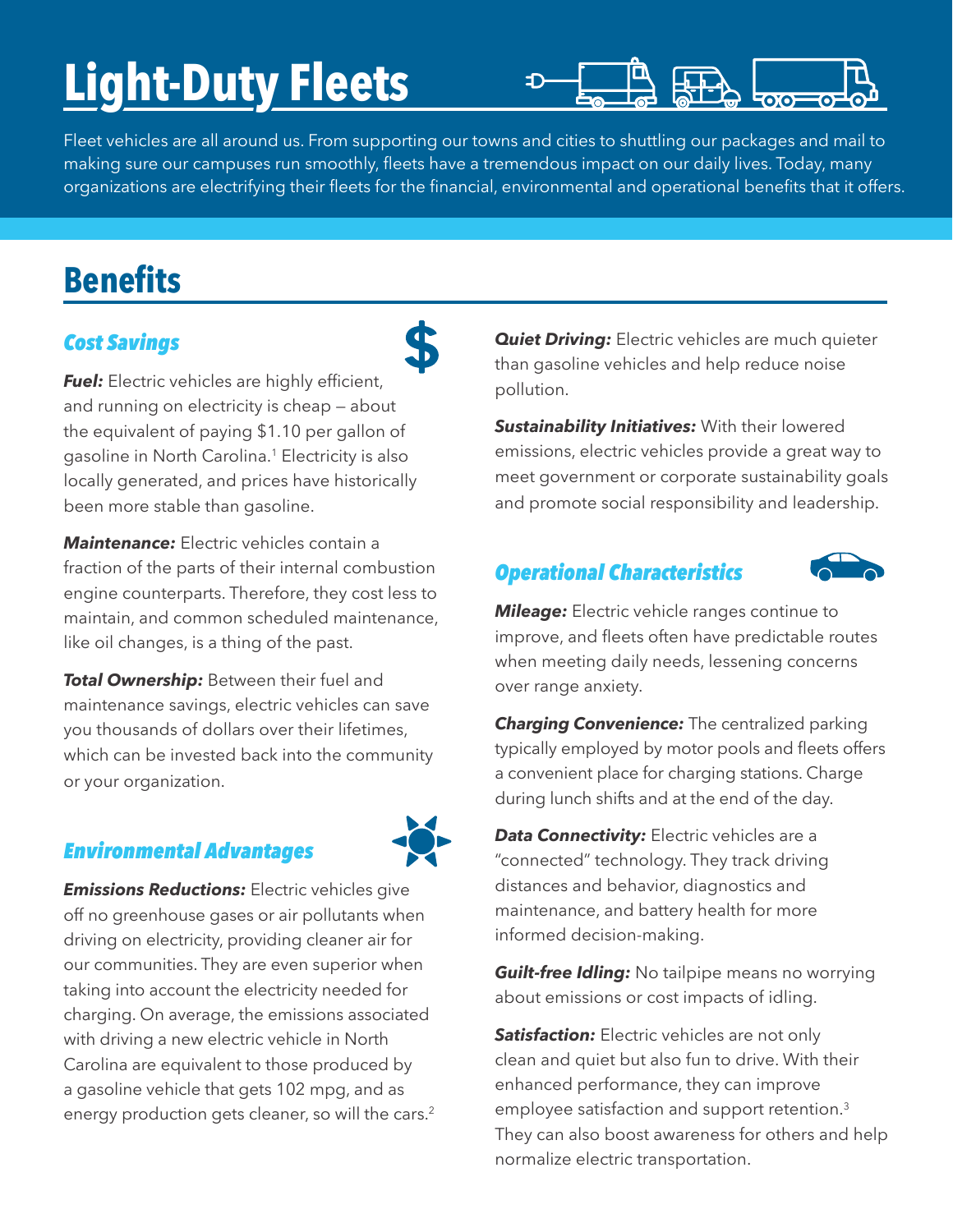# **Light-Duty Fleets**



Fleet vehicles are all around us. From supporting our towns and cities to shuttling our packages and mail to making sure our campuses run smoothly, fleets have a tremendous impact on our daily lives. Today, many organizations are electrifying their fleets for the financial, environmental and operational benefits that it offers.

## **Benefits**

#### *Cost Savings*

**Fuel:** Electric vehicles are highly efficient, and running on electricity is cheap — about the equivalent of paying \$1.10 per gallon of gasoline in North Carolina.<sup>1</sup> Electricity is also locally generated, and prices have historically been more stable than gasoline.

*Maintenance:* Electric vehicles contain a fraction of the parts of their internal combustion engine counterparts. Therefore, they cost less to maintain, and common scheduled maintenance, like oil changes, is a thing of the past.

**Total Ownership:** Between their fuel and maintenance savings, electric vehicles can save you thousands of dollars over their lifetimes, which can be invested back into the community or your organization.

#### *Environmental Advantages*



*Emissions Reductions:* Electric vehicles give off no greenhouse gases or air pollutants when driving on electricity, providing cleaner air for our communities. They are even superior when taking into account the electricity needed for charging. On average, the emissions associated with driving a new electric vehicle in North Carolina are equivalent to those produced by a gasoline vehicle that gets 102 mpg, and as energy production gets cleaner, so will the cars.<sup>2</sup>

**Quiet Driving:** Electric vehicles are much quieter than gasoline vehicles and help reduce noise pollution.

*Sustainability Initiatives:* With their lowered emissions, electric vehicles provide a great way to meet government or corporate sustainability goals and promote social responsibility and leadership.

### *Operational Characteristics*



*Mileage:* Electric vehicle ranges continue to improve, and fleets often have predictable routes when meeting daily needs, lessening concerns over range anxiety.

**Charging Convenience:** The centralized parking typically employed by motor pools and fleets offers a convenient place for charging stations. Charge during lunch shifts and at the end of the day.

**Data Connectivity:** Electric vehicles are a "connected" technology. They track driving distances and behavior, diagnostics and maintenance, and battery health for more informed decision-making.

*Guilt-free Idling:* No tailpipe means no worrying about emissions or cost impacts of idling.

**Satisfaction:** Electric vehicles are not only clean and quiet but also fun to drive. With their enhanced performance, they can improve employee satisfaction and support retention.<sup>3</sup> They can also boost awareness for others and help normalize electric transportation.